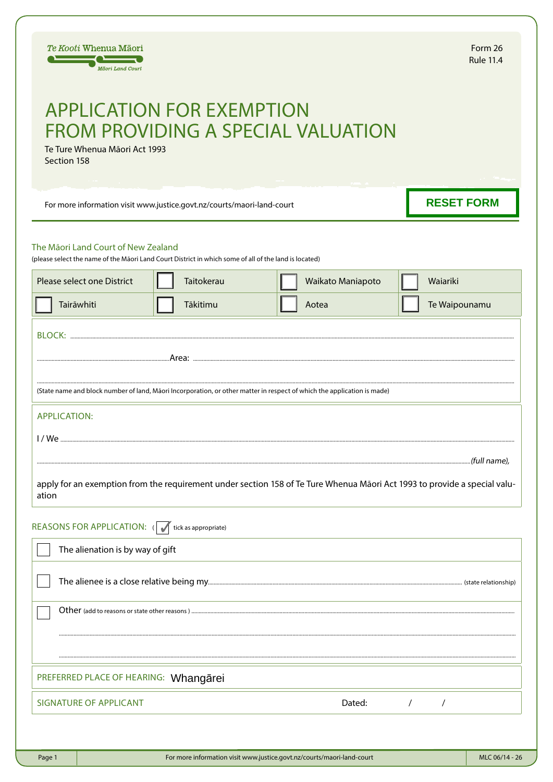| Te Kooti Whenua Māori<br>Māori Land Court                                                                                                                                                                                                                                                                                                                                                                                                       |                                                 |  |                                                                        |  |                   |  | Form 26<br><b>Rule 11.4</b> |                |  |
|-------------------------------------------------------------------------------------------------------------------------------------------------------------------------------------------------------------------------------------------------------------------------------------------------------------------------------------------------------------------------------------------------------------------------------------------------|-------------------------------------------------|--|------------------------------------------------------------------------|--|-------------------|--|-----------------------------|----------------|--|
| <b>APPLICATION FOR EXEMPTION</b><br><b>FROM PROVIDING A SPECIAL VALUATION</b><br>Te Ture Whenua Māori Act 1993<br>Section 158                                                                                                                                                                                                                                                                                                                   |                                                 |  |                                                                        |  |                   |  |                             |                |  |
| For more information visit www.justice.govt.nz/courts/maori-land-court                                                                                                                                                                                                                                                                                                                                                                          |                                                 |  |                                                                        |  |                   |  | <b>RESET FORM</b>           |                |  |
| The Māori Land Court of New Zealand<br>(please select the name of the Māori Land Court District in which some of all of the land is located)                                                                                                                                                                                                                                                                                                    |                                                 |  |                                                                        |  |                   |  |                             |                |  |
|                                                                                                                                                                                                                                                                                                                                                                                                                                                 | Please select one District                      |  | Taitokerau                                                             |  | Waikato Maniapoto |  | Waiariki                    |                |  |
|                                                                                                                                                                                                                                                                                                                                                                                                                                                 | Tairāwhiti                                      |  | Tākitimu                                                               |  | Aotea             |  | Te Waipounamu               |                |  |
| (State name and block number of land, Māori Incorporation, or other matter in respect of which the application is made)                                                                                                                                                                                                                                                                                                                         |                                                 |  |                                                                        |  |                   |  |                             |                |  |
| <b>APPLICATION:</b><br>$\textit{1 / We} \textit{1} \textit{2} \textit{3} \textit{4} \textit{5} \textit{6} \textit{7} \textit{7} \textit{8} \textit{8} \textit{9} \textit{1} \textit{1} \textit{1} \textit{1} \textit{1} \textit{1} \textit{1} \textit{1} \textit{1} \textit{1} \textit{1} \textit{1} \textit{1} \textit{1} \textit{1} \textit{1} \textit{1} \textit{1} \textit{1} \textit{1} \textit{1} \textit{1} \textit{1} \textit{1} \text$ |                                                 |  |                                                                        |  |                   |  |                             |                |  |
| (full name),<br>apply for an exemption from the requirement under section 158 of Te Ture Whenua Māori Act 1993 to provide a special valu-<br>ation                                                                                                                                                                                                                                                                                              |                                                 |  |                                                                        |  |                   |  |                             |                |  |
|                                                                                                                                                                                                                                                                                                                                                                                                                                                 | REASONS FOR APPLICATION: ( tick as appropriate) |  |                                                                        |  |                   |  |                             |                |  |
| The alienation is by way of gift                                                                                                                                                                                                                                                                                                                                                                                                                |                                                 |  |                                                                        |  |                   |  |                             |                |  |
|                                                                                                                                                                                                                                                                                                                                                                                                                                                 |                                                 |  |                                                                        |  |                   |  |                             |                |  |
|                                                                                                                                                                                                                                                                                                                                                                                                                                                 |                                                 |  |                                                                        |  |                   |  |                             |                |  |
| PREFERRED PLACE OF HEARING: Whangarei                                                                                                                                                                                                                                                                                                                                                                                                           |                                                 |  |                                                                        |  |                   |  |                             |                |  |
| <b>SIGNATURE OF APPLICANT</b><br>Dated:<br>$\sqrt{2}$<br>$\sqrt{2}$                                                                                                                                                                                                                                                                                                                                                                             |                                                 |  |                                                                        |  |                   |  |                             |                |  |
|                                                                                                                                                                                                                                                                                                                                                                                                                                                 |                                                 |  |                                                                        |  |                   |  |                             |                |  |
| Page 1                                                                                                                                                                                                                                                                                                                                                                                                                                          |                                                 |  | For more information visit www.justice.govt.nz/courts/maori-land-court |  |                   |  |                             | MLC 06/14 - 26 |  |